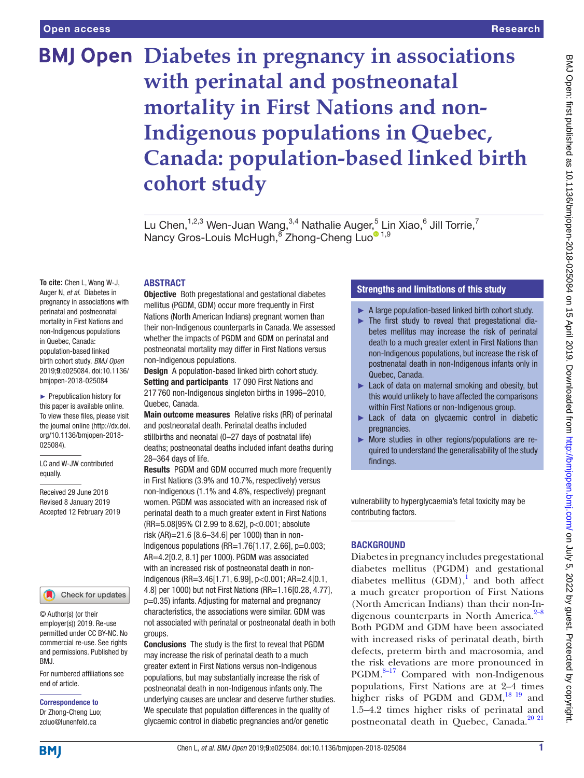# **BMJ Open Diabetes in pregnancy in associations with perinatal and postneonatal mortality in First Nations and non-Indigenous populations in Quebec, Canada: population-based linked birth cohort study**

Lu Chen, $^{1,2,3}$  Wen-Juan Wang, $^{3,4}$  Nathalie Auger, $^5$  Lin Xiao, $^6$  Jill Torrie, $^7$ Nancy Gros-Louis McHugh, Thong-Cheng Luo<sup>o 1,9</sup>

# **ABSTRACT**

**To cite:** Chen L, Wang W-J, Auger N, *et al*. Diabetes in pregnancy in associations with perinatal and postneonatal mortality in First Nations and non-Indigenous populations in Quebec, Canada: population-based linked birth cohort study. *BMJ Open* 2019;9:e025084. doi:10.1136/ bmjopen-2018-025084

► Prepublication history for this paper is available online. To view these files, please visit the journal online [\(http://dx.doi.](http://dx.doi.org/10.1136/bmjopen-2018-025084) [org/10.1136/bmjopen-2018-](http://dx.doi.org/10.1136/bmjopen-2018-025084) [025084\)](http://dx.doi.org/10.1136/bmjopen-2018-025084).

LC and W-JW contributed equally.

Received 29 June 2018 Revised 8 January 2019 Accepted 12 February 2019

#### Check for updates

© Author(s) (or their employer(s)) 2019. Re-use permitted under CC BY-NC. No commercial re-use. See rights and permissions. Published by BMJ.

For numbered affiliations see end of article.

Correspondence to Dr Zhong-Cheng Luo; zcluo@lunenfeld.ca

**Objective** Both pregestational and gestational diabetes mellitus (PGDM, GDM) occur more frequently in First Nations (North American Indians) pregnant women than their non-Indigenous counterparts in Canada. We assessed whether the impacts of PGDM and GDM on perinatal and postneonatal mortality may differ in First Nations versus non-Indigenous populations.

Design A population-based linked birth cohort study. Setting and participants 17 090 First Nations and 217 760 non-Indigenous singleton births in 1996–2010, Quebec, Canada.

Main outcome measures Relative risks (RR) of perinatal and postneonatal death. Perinatal deaths included stillbirths and neonatal (0–27 days of postnatal life) deaths; postneonatal deaths included infant deaths during 28–364 days of life.

Results PGDM and GDM occurred much more frequently in First Nations (3.9% and 10.7%, respectively) versus non-Indigenous (1.1% and 4.8%, respectively) pregnant women. PGDM was associated with an increased risk of perinatal death to a much greater extent in First Nations (RR=5.08[95% CI 2.99 to 8.62], p<0.001; absolute risk (AR)=21.6 [8.6–34.6] per 1000) than in non-Indigenous populations (RR=1.76[1.17, 2.66], p=0.003; AR=4.2[0.2, 8.1] per 1000). PGDM was associated with an increased risk of postneonatal death in non-Indigenous (RR=3.46[1.71, 6.99], p<0.001; AR=2.4[0.1, 4.8] per 1000) but not First Nations (RR=1.16[0.28, 4.77], p=0.35) infants. Adjusting for maternal and pregnancy characteristics, the associations were similar. GDM was not associated with perinatal or postneonatal death in both groups.

Conclusions The study is the first to reveal that PGDM may increase the risk of perinatal death to a much greater extent in First Nations versus non-Indigenous populations, but may substantially increase the risk of postneonatal death in non-Indigenous infants only. The underlying causes are unclear and deserve further studies. We speculate that population differences in the quality of glycaemic control in diabetic pregnancies and/or genetic

# Strengths and limitations of this study

- ► A large population-based linked birth cohort study.
- ► The first study to reveal that pregestational diabetes mellitus may increase the risk of perinatal death to a much greater extent in First Nations than non-Indigenous populations, but increase the risk of postnenatal death in non-Indigenous infants only in Quebec, Canada.
- ► Lack of data on maternal smoking and obesity, but this would unlikely to have affected the comparisons within First Nations or non-Indigenous group.
- ► Lack of data on glycaemic control in diabetic pregnancies.
- ► More studies in other regions/populations are required to understand the generalisability of the study findings.

vulnerability to hyperglycaemia's fetal toxicity may be contributing factors.

### **BACKGROUND**

Diabetes in pregnancy includes pregestational diabetes mellitus (PGDM) and gestational diabetes mellitus  $(GDM)$ ,<sup>1</sup> and both affect a much greater proportion of First Nations (North American Indians) than their non-Indigenous counterparts in North America.<sup>2-8</sup> Both PGDM and GDM have been associated with increased risks of perinatal death, birth defects, preterm birth and macrosomia, and the risk elevations are more pronounced in  $PGDM.<sup>8-17</sup>$  Compared with non-Indigenous populations, First Nations are at 2–4 times higher risks of PGDM and GDM,<sup>18 19</sup> and 1.5–4.2 times higher risks of perinatal and postneonatal death in Quebec, Canada.<sup>[20 21](#page-7-1)</sup>

**BMI**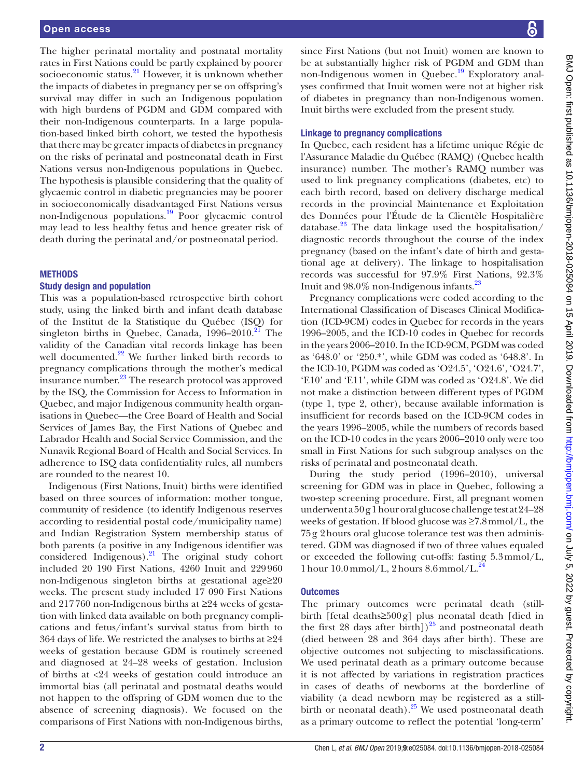The higher perinatal mortality and postnatal mortality rates in First Nations could be partly explained by poorer socioeconomic status.<sup>21</sup> However, it is unknown whether the impacts of diabetes in pregnancy per se on offspring's survival may differ in such an Indigenous population with high burdens of PGDM and GDM compared with their non-Indigenous counterparts. In a large population-based linked birth cohort, we tested the hypothesis that there may be greater impacts of diabetes in pregnancy on the risks of perinatal and postneonatal death in First Nations versus non-Indigenous populations in Quebec. The hypothesis is plausible considering that the quality of glycaemic control in diabetic pregnancies may be poorer in socioeconomically disadvantaged First Nations versus non-Indigenous populations.<sup>19</sup> Poor glycaemic control may lead to less healthy fetus and hence greater risk of death during the perinatal and/or postneonatal period.

### **METHODS**

# Study design and population

This was a population-based retrospective birth cohort study, using the linked birth and infant death database of the Institut de la Statistique du Québec (ISQ) for singleton births in Quebec, Canada,  $1996-2010$ <sup>[21](#page-7-2)</sup> The validity of the Canadian vital records linkage has been well documented.<sup>22</sup> We further linked birth records to pregnancy complications through the mother's medical insurance number.<sup>23</sup> The research protocol was approved by the ISQ, the Commission for Access to Information in Quebec, and major Indigenous community health organisations in Quebec—the Cree Board of Health and Social Services of James Bay, the First Nations of Quebec and Labrador Health and Social Service Commission, and the Nunavik Regional Board of Health and Social Services. In adherence to ISQ data confidentiality rules, all numbers are rounded to the nearest 10.

Indigenous (First Nations, Inuit) births were identified based on three sources of information: mother tongue, community of residence (to identify Indigenous reserves according to residential postal code/municipality name) and Indian Registration System membership status of both parents (a positive in any Indigenous identifier was considered Indigenous). $^{21}$  The original study cohort included 20 190 First Nations, 4260 Inuit and 229960 non-Indigenous singleton births at gestational age≥20 weeks. The present study included 17 090 First Nations and 217760 non-Indigenous births at ≥24 weeks of gestation with linked data available on both pregnancy complications and fetus/infant's survival status from birth to 364 days of life. We restricted the analyses to births at  $\geq 24$ weeks of gestation because GDM is routinely screened and diagnosed at 24–28 weeks of gestation. Inclusion of births at <24 weeks of gestation could introduce an immortal bias (all perinatal and postnatal deaths would not happen to the offspring of GDM women due to the absence of screening diagnosis). We focused on the comparisons of First Nations with non-Indigenous births,

since First Nations (but not Inuit) women are known to be at substantially higher risk of PGDM and GDM than non-Indigenous women in Quebec.<sup>[19](#page-7-3)</sup> Exploratory analyses confirmed that Inuit women were not at higher risk of diabetes in pregnancy than non-Indigenous women. Inuit births were excluded from the present study.

# Linkage to pregnancy complications

In Quebec, each resident has a lifetime unique Régie de l'Assurance Maladie du Québec (RAMQ) (Quebec health insurance) number. The mother's RAMQ number was used to link pregnancy complications (diabetes, etc) to each birth record, based on delivery discharge medical records in the provincial Maintenance et Exploitation des Données pour l'Étude de la Clientèle Hospitalière database. $^{23}$  The data linkage used the hospitalisation/ diagnostic records throughout the course of the index pregnancy (based on the infant's date of birth and gestational age at delivery). The linkage to hospitalisation records was successful for 97.9% First Nations, 92.3% Inuit and  $98.0\%$  non-Indigenous infants.<sup>23</sup>

Pregnancy complications were coded according to the International Classification of Diseases Clinical Modification (ICD-9CM) codes in Quebec for records in the years 1996–2005, and the ICD-10 codes in Quebec for records in the years 2006–2010. In the ICD-9CM, PGDM was coded as '648.0' or '250.\*', while GDM was coded as '648.8'. In the ICD-10, PGDM was coded as 'O24.5', 'O24.6', 'O24.7', 'E10' and 'E11', while GDM was coded as 'O24.8'. We did not make a distinction between different types of PGDM (type 1, type 2, other), because available information is insufficient for records based on the ICD-9CM codes in the years 1996–2005, while the numbers of records based on the ICD-10 codes in the years 2006–2010 only were too small in First Nations for such subgroup analyses on the risks of perinatal and postneonatal death.

During the study period (1996–2010), universal screening for GDM was in place in Quebec, following a two-step screening procedure. First, all pregnant women underwent a 50g 1hour oral glucose challenge test at 24–28 weeks of gestation. If blood glucose was ≥7.8mmol/L, the 75g 2hours oral glucose tolerance test was then administered. GDM was diagnosed if two of three values equaled or exceeded the following cut-offs: fasting 5.3mmol/L, 1 hour  $10.0$  mmol/L, 2 hours  $8.6$  mmol/L.<sup>2</sup>

# **Outcomes**

The primary outcomes were perinatal death (stillbirth [fetal deaths≥500g] plus neonatal death [died in the first 28 days after birth])<sup>25</sup> and postneonatal death (died between 28 and 364 days after birth). These are objective outcomes not subjecting to misclassifications. We used perinatal death as a primary outcome because it is not affected by variations in registration practices in cases of deaths of newborns at the borderline of viability (a dead newborn may be registered as a stillbirth or neonatal death).<sup>25</sup> We used postneonatal death as a primary outcome to reflect the potential 'long-term'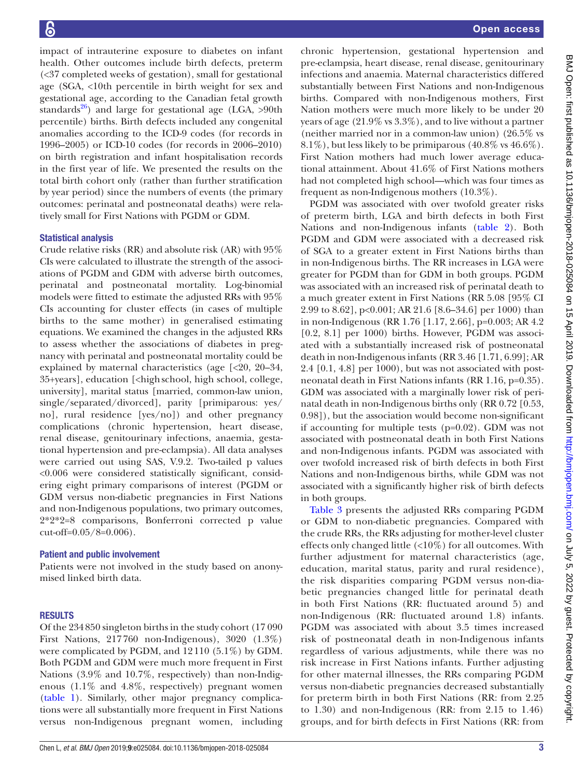impact of intrauterine exposure to diabetes on infant health. Other outcomes include birth defects, preterm (<37 completed weeks of gestation), small for gestational age (SGA, <10th percentile in birth weight for sex and gestational age, according to the Canadian fetal growth standards $^{26}$ ) and large for gestational age (LGA, >90th percentile) births. Birth defects included any congenital anomalies according to the ICD-9 codes (for records in 1996–2005) or ICD-10 codes (for records in 2006–2010) on birth registration and infant hospitalisation records in the first year of life. We presented the results on the total birth cohort only (rather than further stratification by year period) since the numbers of events (the primary outcomes: perinatal and postneonatal deaths) were relatively small for First Nations with PGDM or GDM.

# Statistical analysis

Crude relative risks (RR) and absolute risk (AR) with 95% CIs were calculated to illustrate the strength of the associations of PGDM and GDM with adverse birth outcomes, perinatal and postneonatal mortality. Log-binomial models were fitted to estimate the adjusted RRs with 95% CIs accounting for cluster effects (in cases of multiple births to the same mother) in generalised estimating equations. We examined the changes in the adjusted RRs to assess whether the associations of diabetes in pregnancy with perinatal and postneonatal mortality could be explained by maternal characteristics (age [<20, 20–34, 35+years], education [<highschool, high school, college, university], marital status [married, common-law union, single/separated/divorced], parity [primiparous: yes/ no], rural residence [yes/no]) and other pregnancy complications (chronic hypertension, heart disease, renal disease, genitourinary infections, anaemia, gestational hypertension and pre-eclampsia). All data analyses were carried out using SAS, V.9.2. Two-tailed p values <0.006 were considered statistically significant, considering eight primary comparisons of interest (PGDM or GDM versus non-diabetic pregnancies in First Nations and non-Indigenous populations, two primary outcomes, 2\*2\*2=8 comparisons, Bonferroni corrected p value cut-off=0.05/8=0.006).

# Patient and public involvement

Patients were not involved in the study based on anonymised linked birth data.

# **RESULTS**

Of the 234850 singleton births in the study cohort (17 090 First Nations, 217760 non-Indigenous), 3020 (1.3%) were complicated by PGDM, and 12110 (5.1%) by GDM. Both PGDM and GDM were much more frequent in First Nations (3.9% and 10.7%, respectively) than non-Indigenous (1.1% and 4.8%, respectively) pregnant women ([table](#page-3-0) 1). Similarly, other major pregnancy complications were all substantially more frequent in First Nations versus non-Indigenous pregnant women, including

chronic hypertension, gestational hypertension and pre-eclampsia, heart disease, renal disease, genitourinary infections and anaemia. Maternal characteristics differed substantially between First Nations and non-Indigenous births. Compared with non-Indigenous mothers, First Nation mothers were much more likely to be under 20 years of age (21.9% vs 3.3%), and to live without a partner (neither married nor in a common-law union) (26.5% vs 8.1%), but less likely to be primiparous (40.8% vs 46.6%). First Nation mothers had much lower average educational attainment. About 41.6% of First Nations mothers had not completed high school—which was four times as frequent as non-Indigenous mothers (10.3%).

PGDM was associated with over twofold greater risks of preterm birth, LGA and birth defects in both First Nations and non-Indigenous infants ([table](#page-4-0) 2). Both PGDM and GDM were associated with a decreased risk of SGA to a greater extent in First Nations births than in non-Indigenous births. The RR increases in LGA were greater for PGDM than for GDM in both groups. PGDM was associated with an increased risk of perinatal death to a much greater extent in First Nations (RR 5.08 [95% CI 2.99 to 8.62], p<0.001; AR 21.6 [8.6–34.6] per 1000) than in non-Indigenous (RR 1.76 [1.17, 2.66], p=0.003; AR 4.2 [0.2, 8.1] per 1000) births. However, PGDM was associated with a substantially increased risk of postneonatal death in non-Indigenous infants (RR 3.46 [1.71, 6.99]; AR 2.4 [0.1, 4.8] per 1000), but was not associated with postneonatal death in First Nations infants (RR 1.16, p=0.35). GDM was associated with a marginally lower risk of perinatal death in non-Indigenous births only (RR 0.72 [0.53, 0.98]), but the association would become non-significant if accounting for multiple tests (p=0.02). GDM was not associated with postneonatal death in both First Nations and non-Indigenous infants. PGDM was associated with over twofold increased risk of birth defects in both First Nations and non-Indigenous births, while GDM was not associated with a significantly higher risk of birth defects in both groups.

[Table](#page-5-0) 3 presents the adjusted RRs comparing PGDM or GDM to non-diabetic pregnancies. Compared with the crude RRs, the RRs adjusting for mother-level cluster effects only changed little (<10%) for all outcomes. With further adjustment for maternal characteristics (age, education, marital status, parity and rural residence), the risk disparities comparing PGDM versus non-diabetic pregnancies changed little for perinatal death in both First Nations (RR: fluctuated around 5) and non-Indigenous (RR: fluctuated around 1.8) infants. PGDM was associated with about 3.5 times increased risk of postneonatal death in non-Indigenous infants regardless of various adjustments, while there was no risk increase in First Nations infants. Further adjusting for other maternal illnesses, the RRs comparing PGDM versus non-diabetic pregnancies decreased substantially for preterm birth in both First Nations (RR: from 2.25 to 1.30) and non-Indigenous (RR: from 2.15 to 1.46) groups, and for birth defects in First Nations (RR: from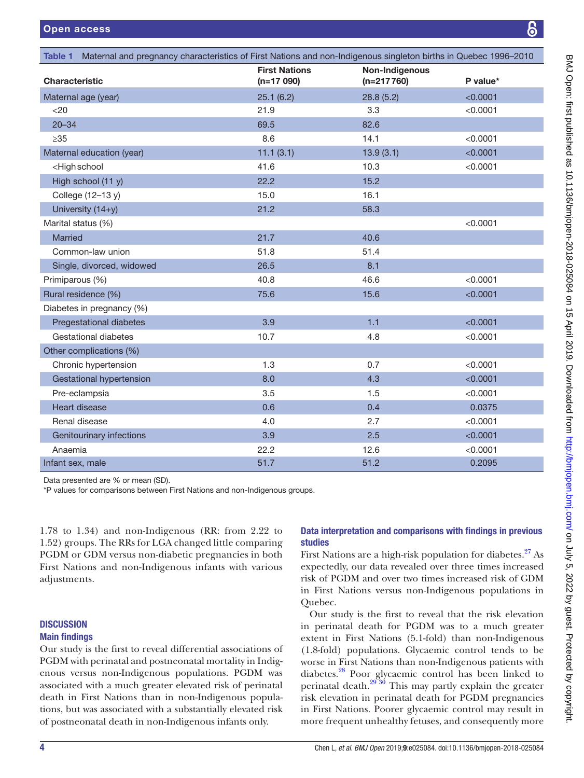<span id="page-3-0"></span>

| Maternal and pregnancy characteristics of First Nations and non-Indigenous singleton births in Quebec 1996–2010<br>Table 1 |                                     |                                |          |  |  |  |  |
|----------------------------------------------------------------------------------------------------------------------------|-------------------------------------|--------------------------------|----------|--|--|--|--|
| <b>Characteristic</b>                                                                                                      | <b>First Nations</b><br>$(n=17090)$ | Non-Indigenous<br>$(n=217760)$ | P value* |  |  |  |  |
| Maternal age (year)                                                                                                        | 25.1(6.2)                           | 28.8(5.2)                      | < 0.0001 |  |  |  |  |
| $<$ 20                                                                                                                     | 21.9                                | 3.3                            | < 0.0001 |  |  |  |  |
| $20 - 34$                                                                                                                  | 69.5                                | 82.6                           |          |  |  |  |  |
| $\geq 35$                                                                                                                  | 8.6                                 | 14.1                           | < 0.0001 |  |  |  |  |
| Maternal education (year)                                                                                                  | 11.1(3.1)                           | 13.9(3.1)                      | < 0.0001 |  |  |  |  |
| <high school<="" td=""><td>41.6</td><td>10.3</td><td>&lt; 0.0001</td></high>                                               | 41.6                                | 10.3                           | < 0.0001 |  |  |  |  |
| High school (11 y)                                                                                                         | 22.2                                | 15.2                           |          |  |  |  |  |
| College (12-13 y)                                                                                                          | 15.0                                | 16.1                           |          |  |  |  |  |
| University (14+y)                                                                                                          | 21.2                                | 58.3                           |          |  |  |  |  |
| Marital status (%)                                                                                                         |                                     |                                | < 0.0001 |  |  |  |  |
| <b>Married</b>                                                                                                             | 21.7                                | 40.6                           |          |  |  |  |  |
| Common-law union                                                                                                           | 51.8                                | 51.4                           |          |  |  |  |  |
| Single, divorced, widowed                                                                                                  | 26.5                                | 8.1                            |          |  |  |  |  |
| Primiparous (%)                                                                                                            | 40.8                                | 46.6                           | < 0.0001 |  |  |  |  |
| Rural residence (%)                                                                                                        | 75.6                                | 15.6                           | < 0.0001 |  |  |  |  |
| Diabetes in pregnancy (%)                                                                                                  |                                     |                                |          |  |  |  |  |
| Pregestational diabetes                                                                                                    | 3.9                                 | 1.1                            | < 0.0001 |  |  |  |  |
| Gestational diabetes                                                                                                       | 10.7                                | 4.8                            | < 0.0001 |  |  |  |  |
| Other complications (%)                                                                                                    |                                     |                                |          |  |  |  |  |
| Chronic hypertension                                                                                                       | 1.3                                 | 0.7                            | < 0.0001 |  |  |  |  |
| Gestational hypertension                                                                                                   | 8.0                                 | 4.3                            | < 0.0001 |  |  |  |  |
| Pre-eclampsia                                                                                                              | 3.5                                 | 1.5                            | < 0.0001 |  |  |  |  |
| Heart disease                                                                                                              | 0.6                                 | 0.4                            | 0.0375   |  |  |  |  |
| Renal disease                                                                                                              | 4.0                                 | 2.7                            | < 0.0001 |  |  |  |  |
| Genitourinary infections                                                                                                   | 3.9                                 | 2.5                            | < 0.0001 |  |  |  |  |
| Anaemia                                                                                                                    | 22.2                                | 12.6                           | < 0.0001 |  |  |  |  |
| Infant sex, male                                                                                                           | 51.7                                | 51.2                           | 0.2095   |  |  |  |  |

Data presented are % or mean (SD).

\*P values for comparisons between First Nations and non-Indigenous groups.

1.78 to 1.34) and non-Indigenous (RR: from 2.22 to 1.52) groups. The RRs for LGA changed little comparing PGDM or GDM versus non-diabetic pregnancies in both First Nations and non-Indigenous infants with various adjustments.

## **DISCUSSION** Main findings

Our study is the first to reveal differential associations of PGDM with perinatal and postneonatal mortality in Indigenous versus non-Indigenous populations. PGDM was associated with a much greater elevated risk of perinatal death in First Nations than in non-Indigenous populations, but was associated with a substantially elevated risk of postneonatal death in non-Indigenous infants only.

# Data interpretation and comparisons with findings in previous studies

First Nations are a high-risk population for diabetes. $27$  As expectedly, our data revealed over three times increased risk of PGDM and over two times increased risk of GDM in First Nations versus non-Indigenous populations in Quebec.

Our study is the first to reveal that the risk elevation in perinatal death for PGDM was to a much greater extent in First Nations (5.1-fold) than non-Indigenous (1.8-fold) populations. Glycaemic control tends to be worse in First Nations than non-Indigenous patients with diabetes[.28](#page-7-10) Poor glycaemic control has been linked to perinatal death. $2936$  This may partly explain the greater risk elevation in perinatal death for PGDM pregnancies in First Nations. Poorer glycaemic control may result in more frequent unhealthy fetuses, and consequently more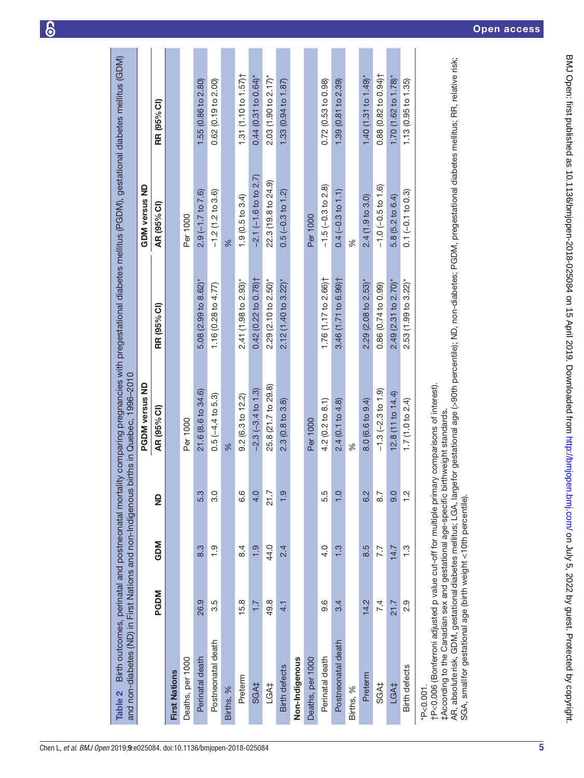<span id="page-4-0"></span>

| and non-diabetes (ND) in First Nations and non-Indigenou<br>Table 2                                                                                                                                                                                                | Birth outcomes, perinatal and postneonatal mort |               |                  | s births in Quebec, 1996-2010 |                                    | tality comparing pregnancies with pregestational diabetes mellitus (PGDM), gestational diabetes mellitus (GDM)          |                                    |
|--------------------------------------------------------------------------------------------------------------------------------------------------------------------------------------------------------------------------------------------------------------------|-------------------------------------------------|---------------|------------------|-------------------------------|------------------------------------|-------------------------------------------------------------------------------------------------------------------------|------------------------------------|
|                                                                                                                                                                                                                                                                    |                                                 |               |                  | <b>PGDM versus ND</b>         |                                    | <b>GDM</b> versus ND                                                                                                    |                                    |
|                                                                                                                                                                                                                                                                    | <b>PGDM</b>                                     | <b>GDM</b>    | $\frac{1}{2}$    | AR (95% CI)                   | RR (95% CI)                        | AR (95% CI)                                                                                                             | RR (95% CI)                        |
| <b>First Nations</b>                                                                                                                                                                                                                                               |                                                 |               |                  |                               |                                    |                                                                                                                         |                                    |
| Deaths, per 1000                                                                                                                                                                                                                                                   |                                                 |               |                  | Per 1000                      |                                    | Per 1000                                                                                                                |                                    |
| Perinatal death                                                                                                                                                                                                                                                    | 26.9                                            | $\frac{3}{8}$ | <u>ვვ</u>        | 21.6 (8.6 to 34.6)            | 5.08 $(2.99$ to 8.62)*             | $2.9(-1.7 to 7.6)$                                                                                                      | 1.55 (0.86 to 2.80)                |
| Postneonatal death                                                                                                                                                                                                                                                 | 3.5                                             | ი<br>1        | ი<br>ვ           | $0.5(-4.4 to 5.3)$            | 1.16 $(0.28$ to $4.77)$            | $-1.2(1.2 \text{ to } 3.6)$                                                                                             | 0.62(0.19 to 2.00)                 |
| Births, %                                                                                                                                                                                                                                                          |                                                 |               |                  | %                             |                                    | %                                                                                                                       |                                    |
| Preterm                                                                                                                                                                                                                                                            | 15.8                                            | $\ddot{8}$    | 0.<br>0          | $9.2(6.3 \text{ to } 12.2)$   | 2.41 (1.98 to 2.93)*               | 1.9(0.5 to 3.4)                                                                                                         | 1.31 (1.10 to 1.57) $\dagger$      |
| SGA‡                                                                                                                                                                                                                                                               | 7.7                                             | $\frac{1}{2}$ | $rac{1}{4}$      | $-2.3(-3.4 to 1.3)$           | 0.42 (0.22 to 0.78) <sup>+</sup>   | $-2.1(-1.6 \text{ to } 2.7)$                                                                                            | $0.44(0.31$ to $0.64$ <sup>*</sup> |
| LGA‡                                                                                                                                                                                                                                                               | 49.8                                            | 44.0          | 21.7             | 25.8 (21.7 to 29.8)           | $2.29$ (2.10 to $2.50$ )*          | 22.3 (19.8 to 24.9)                                                                                                     | 2.03(1.90 to 2.17)                 |
| <b>Birth defects</b>                                                                                                                                                                                                                                               | 4.1                                             | 2.4           | <u>ာ</u>         | $2.3(0.8 \text{ to } 3.8)$    | $2.12$ (1.40 to 3.22)*             | $0.5$ (-0.3 to 1.2)                                                                                                     | $1.33(0.94 \text{ to } 1.87)$      |
| Non-Indigenous                                                                                                                                                                                                                                                     |                                                 |               |                  |                               |                                    |                                                                                                                         |                                    |
| Deaths, per 1000                                                                                                                                                                                                                                                   |                                                 |               |                  | Per 1000                      |                                    | Per 1000                                                                                                                |                                    |
| Perinatal death                                                                                                                                                                                                                                                    | 9.6                                             | 4.0           | 5.5              | $4.2(0.2 \text{ to } 8.1)$    | 1.76 (1.17 to 2.66) <sup>+</sup>   | $-1.5(-0.3 \text{ to } 2.8)$                                                                                            | 0.72(0.53 to 0.98)                 |
| Postneonatal death                                                                                                                                                                                                                                                 | 3.4                                             | $\frac{3}{2}$ | 으<br>ㅜ           | $2.4(0.1 \text{ to } 4.8)$    | 3.46 (1.71 to 6.99) <sup>†</sup>   | $0.4(-0.3 to 1.1)$                                                                                                      | 1.39 (0.81 to 2.39)                |
| Births, %                                                                                                                                                                                                                                                          |                                                 |               |                  | Se                            |                                    | ℅                                                                                                                       |                                    |
| Preterm                                                                                                                                                                                                                                                            | 14.2                                            | 8.5           | 6.2              | 8.0 (6.6 to 9.4)              | 2.29 (2.08 to 2.53)*               | 2.4(1.9 to 3.0)                                                                                                         | $1.40(1.31 to 1.49)^{*}$           |
| SGA‡                                                                                                                                                                                                                                                               | 7.4                                             | 7.7           | $\overline{8.7}$ | $-1.3(-2.3 \text{ to } 1.9)$  | 0.86 (0.74 to 0.99)                | $-1.0(-0.5 to 1.6)$                                                                                                     | 0.88(0.82 to 0.94)                 |
| LGA <sub>1</sub>                                                                                                                                                                                                                                                   | 21.7                                            | 14.7          | ခ့               | 12.8 (11 to 14.4)             | $2.49(2.31$ to $2.70$ <sup>*</sup> | 5.8 (5.2 to 6.4)                                                                                                        | $1.70(1.62 to 1.78)$ *             |
| <b>Birth defects</b>                                                                                                                                                                                                                                               | 2.9                                             | $\frac{3}{1}$ | <u>이</u>         | 1.7 (1.0 to 2.4)              | $2.53$ (1.99 to 3.22)*             | $0.1 (-0.1 to 0.3)$                                                                                                     | 1.13 (0.95 to 1.35)                |
| tP<0.006 (Bonferroni adjusted p value cut-off for multiple primary comparisons of interest).<br>#According to the Canadian sex and gestational age-specific birthweight standards.<br>AR, absolute risk, GDM, gestational diabetes mellitus; LGA, lar<br>P < 0.001 |                                                 |               |                  |                               |                                    | rgefor gestational age (>90th percentile); ND, non-diabetes; PGDM, pregestational diabetes mellitus; RR, relative risk; |                                    |
| SGA, small for gestational age (birth weight <10th percentile).                                                                                                                                                                                                    |                                                 |               |                  |                               |                                    |                                                                                                                         |                                    |

 $\delta$ 

l,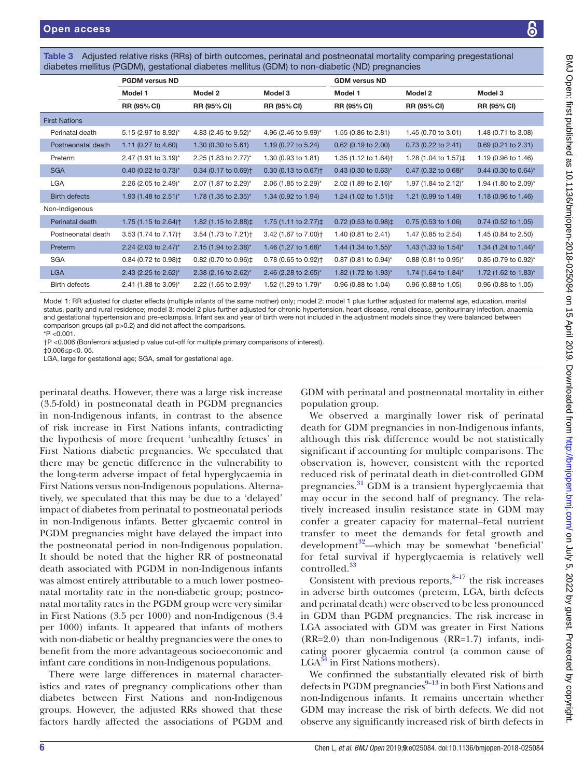<span id="page-5-0"></span>Table 3 Adjusted relative risks (RRs) of birth outcomes, perinatal and postneonatal mortality comparing pregestational diabetes mellitus (PGDM), gestational diabetes mellitus (GDM) to non-diabetic (ND) pregnancies

|                      | <b>PGDM</b> versus ND                           |                                                 |                                            | <b>GDM versus ND</b>               |                               |                                  |
|----------------------|-------------------------------------------------|-------------------------------------------------|--------------------------------------------|------------------------------------|-------------------------------|----------------------------------|
|                      | Model 1                                         | Model 2                                         | Model 3                                    | Model 1                            | Model 2                       | Model 3                          |
|                      | RR (95% CI)                                     | RR (95% CI)                                     | <b>RR (95% CI)</b>                         | <b>RR (95% CI)</b>                 | <b>RR (95% CI)</b>            | <b>RR (95% CI)</b>               |
| <b>First Nations</b> |                                                 |                                                 |                                            |                                    |                               |                                  |
| Perinatal death      | 5.15 (2.97 to 8.92)*                            | 4.83 (2.45 to 9.52)*                            | 4.96 (2.46 to 9.99)*                       | 1.55 (0.86 to 2.81)                | 1.45 (0.70 to 3.01)           | 1.48 (0.71 to 3.08)              |
| Postneonatal death   | 1.11 (0.27 to 4.60)                             | 1.30 (0.30 to 5.61)                             | 1.19 (0.27 to 5.24)                        | $0.62$ (0.19 to 2.00)              | $0.73$ (0.22 to 2.41)         | $0.69$ (0.21 to 2.31)            |
| Preterm              | 2.47 (1.91 to 3.19)*                            | 2.25 (1.83 to 2.77)*                            | 1.30 (0.93 to 1.81)                        | 1.35 (1.12 to 1.64) <sup>+</sup>   | 1.28 (1.04 to 1.57)‡          | 1.19 (0.96 to 1.46)              |
| <b>SGA</b>           | 0.40 (0.22 to 0.73)*                            | $0.34$ (0.17 to 0.69) <sup>+</sup>              | $0.30(0.13 \text{ to } 0.67)$ <sup>+</sup> | $0.43$ (0.30 to 0.63) <sup>*</sup> | $0.47$ (0.32 to 0.68)*        | 0.44 (0.30 to $0.64$ )*          |
| <b>LGA</b>           | 2.26 (2.05 to 2.49)*                            | 2.07 (1.87 to 2.29)*                            | 2.06 (1.85 to 2.29)*                       | 2.02 (1.89 to 2.16)*               | 1.97 (1.84 to 2.12)*          | 1.94 (1.80 to 2.09)*             |
| <b>Birth defects</b> | 1.93 (1.48 to 2.51)*                            | 1.78 (1.35 to 2.35)*                            | 1.34 (0.92 to 1.94)                        | 1.24 (1.02 to 1.51) $\ddagger$     | 1.21 (0.99 to 1.49)           | 1.18 (0.96 to 1.46)              |
| Non-Indigenous       |                                                 |                                                 |                                            |                                    |                               |                                  |
| Perinatal death      | 1.75 (1.15 to 2.64) <sup>†</sup>                | 1.82 (1.15 to 2.88)‡                            | 1.75 (1.11 to 2.77)‡                       | $0.72$ (0.53 to 0.98) $\ddagger$   | $0.75(0.53 \text{ to } 1.06)$ | $0.74$ (0.52 to 1.05)            |
| Postneonatal death   | 3.53 (1.74 to 7.17) <sup>+</sup>                | 3.54 (1.73 to 7.21) <sup>+</sup>                | 3.42 (1.67 to 7.00) <sup>+</sup>           | 1.40 (0.81 to 2.41)                | 1.47 (0.85 to 2.54)           | 1.45 (0.84 to 2.50)              |
| Preterm              | 2.24 (2.03 to 2.47)*                            | 2.15 (1.94 to 2.38)*                            | 1.46 (1.27 to 1.68)*                       | 1.44 (1.34 to 1.55)*               | 1.43 (1.33 to 1.54)*          | 1.34 (1.24 to 1.44) <sup>*</sup> |
| <b>SGA</b>           | 0.84 (0.72 to 0.98) <sup><math>\pm</math></sup> | 0.82 (0.70 to 0.96) <sup><math>\pm</math></sup> | 0.78 (0.65 to 0.92) <sup>+</sup>           | 0.87 (0.81 to 0.94)*               | 0.88 (0.81 to 0.95)*          | 0.85 (0.79 to 0.92)*             |
| <b>LGA</b>           | 2.43 (2.25 to 2.62)*                            | 2.38 (2.16 to 2.62)*                            | 2.46 (2.28 to 2.65)*                       | 1.82 (1.72 to 1.93)*               | 1.74 (1.64 to 1.84)*          | 1.72 (1.62 to 1.83)*             |
| <b>Birth defects</b> | 2.41 (1.88 to 3.09)*                            | 2.22 (1.65 to 2.99)*                            | 1.52 (1.29 to 1.79)*                       | $0.96$ (0.88 to 1.04)              | 0.96 (0.88 to 1.05)           | 0.96 (0.88 to 1.05)              |

Model 1: RR adjusted for cluster effects (multiple infants of the same mother) only; model 2: model 1 plus further adjusted for maternal age, education, marital status, parity and rural residence; model 3: model 2 plus further adjusted for chronic hypertension, heart disease, renal disease, genitourinary infection, anaemia and gestational hypertension and pre-eclampsia. Infant sex and year of birth were not included in the adjustment models since they were balanced between comparison groups (all p>0.2) and did not affect the comparisons.

\*P <0.001.

†P <0.006 (Bonferroni adjusted p value cut-off for multiple primary comparisons of interest).

‡0.006≤p<0. 05. LGA, large for gestational age; SGA, small for gestational age.

perinatal deaths. However, there was a large risk increase (3.5-fold) in postneonatal death in PGDM pregnancies in non-Indigenous infants, in contrast to the absence of risk increase in First Nations infants, contradicting the hypothesis of more frequent 'unhealthy fetuses' in First Nations diabetic pregnancies. We speculated that there may be genetic difference in the vulnerability to the long-term adverse impact of fetal hyperglycaemia in First Nations versus non-Indigenous populations. Alternatively, we speculated that this may be due to a 'delayed' impact of diabetes from perinatal to postneonatal periods in non-Indigenous infants. Better glycaemic control in PGDM pregnancies might have delayed the impact into the postneonatal period in non-Indigenous population. It should be noted that the higher RR of postneonatal death associated with PGDM in non-Indigenous infants was almost entirely attributable to a much lower postneonatal mortality rate in the non-diabetic group; postneonatal mortality rates in the PGDM group were very similar in First Nations (3.5 per 1000) and non-Indigenous (3.4 per 1000) infants. It appeared that infants of mothers with non-diabetic or healthy pregnancies were the ones to benefit from the more advantageous socioeconomic and infant care conditions in non-Indigenous populations.

There were large differences in maternal characteristics and rates of pregnancy complications other than diabetes between First Nations and non-Indigenous groups. However, the adjusted RRs showed that these factors hardly affected the associations of PGDM and

GDM with perinatal and postneonatal mortality in either population group.

We observed a marginally lower risk of perinatal death for GDM pregnancies in non-Indigenous infants, although this risk difference would be not statistically significant if accounting for multiple comparisons. The observation is, however, consistent with the reported reduced risk of perinatal death in diet-controlled GDM pregnancies. ${}^{31}$  ${}^{31}$  ${}^{31}$  GDM is a transient hyperglycaemia that may occur in the second half of pregnancy. The relatively increased insulin resistance state in GDM may confer a greater capacity for maternal–fetal nutrient transfer to meet the demands for fetal growth and development<sup>32</sup>—which may be somewhat 'beneficial' for fetal survival if hyperglycaemia is relatively well controlled.<sup>[33](#page-7-14)</sup>

Consistent with previous reports, $8-17$  the risk increases in adverse birth outcomes (preterm, LGA, birth defects and perinatal death) were observed to be less pronounced in GDM than PGDM pregnancies. The risk increase in LGA associated with GDM was greater in First Nations (RR=2.0) than non-Indigenous (RR=1.7) infants, indicating poorer glycaemia control (a common cause of  $LGA<sup>34</sup>$  in First Nations mothers).

We confirmed the substantially elevated risk of birth defects in PGDM pregnancies $9-13$  in both First Nations and non-Indigenous infants. It remains uncertain whether GDM may increase the risk of birth defects. We did not observe any significantly increased risk of birth defects in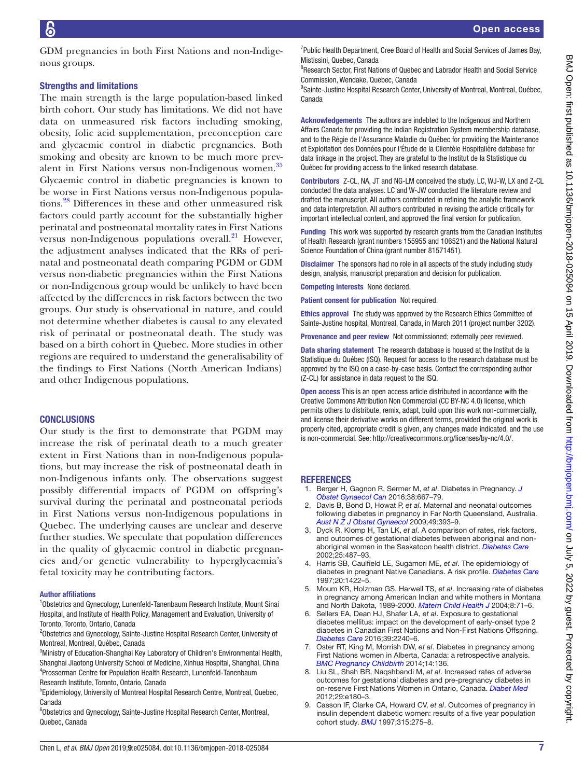GDM pregnancies in both First Nations and non-Indigenous groups.

#### Strengths and limitations

The main strength is the large population-based linked birth cohort. Our study has limitations. We did not have data on unmeasured risk factors including smoking, obesity, folic acid supplementation, preconception care and glycaemic control in diabetic pregnancies. Both smoking and obesity are known to be much more prevalent in First Nations versus non-Indigenous women.<sup>35</sup> Glycaemic control in diabetic pregnancies is known to be worse in First Nations versus non-Indigenous populations.[28](#page-7-10) Differences in these and other unmeasured risk factors could partly account for the substantially higher perinatal and postneonatal mortality rates in First Nations versus non-Indigenous populations overall. $^{21}$  However, the adjustment analyses indicated that the RRs of perinatal and postneonatal death comparing PGDM or GDM versus non-diabetic pregnancies within the First Nations or non-Indigenous group would be unlikely to have been affected by the differences in risk factors between the two groups. Our study is observational in nature, and could not determine whether diabetes is causal to any elevated risk of perinatal or postneonatal death. The study was based on a birth cohort in Quebec. More studies in other regions are required to understand the generalisability of the findings to First Nations (North American Indians) and other Indigenous populations.

## **CONCLUSIONS**

Our study is the first to demonstrate that PGDM may increase the risk of perinatal death to a much greater extent in First Nations than in non-Indigenous populations, but may increase the risk of postneonatal death in non-Indigenous infants only. The observations suggest possibly differential impacts of PGDM on offspring's survival during the perinatal and postneonatal periods in First Nations versus non-Indigenous populations in Quebec. The underlying causes are unclear and deserve further studies. We speculate that population differences in the quality of glycaemic control in diabetic pregnancies and/or genetic vulnerability to hyperglycaemia's fetal toxicity may be contributing factors.

#### Author affiliations

<sup>1</sup>Obstetrics and Gynecology, Lunenfeld-Tanenbaum Research Institute, Mount Sinai Hospital, and Institute of Health Policy, Management and Evaluation, University of Toronto, Toronto, Ontario, Canada

<sup>2</sup>Obstetrics and Gynecology, Sainte-Justine Hospital Research Center, University of Montreal, Montreal, Québec, Canada

<sup>3</sup>Ministry of Education-Shanghai Key Laboratory of Children's Environmental Health, Shanghai Jiaotong University School of Medicine, Xinhua Hospital, Shanghai, China 4 Prosserman Centre for Population Health Research, Lunenfeld-Tanenbaum Research Institute, Toronto, Ontario, Canada

<sup>5</sup>Epidemiology, University of Montreal Hospital Research Centre, Montreal, Quebec, Canada

6 Obstetrics and Gynecology, Sainte-Justine Hospital Research Center, Montreal, Quebec, Canada

<sup>7</sup>Public Health Department, Cree Board of Health and Social Services of James Bay, Mistissini, Quebec, Canada

<sup>8</sup>Research Sector, First Nations of Quebec and Labrador Health and Social Service Commission, Wendake, Quebec, Canada

<sup>9</sup>Sainte-Justine Hospital Research Center, University of Montreal, Montreal, Québec, Canada

Acknowledgements The authors are indebted to the Indigenous and Northern Affairs Canada for providing the Indian Registration System membership database, and to the Régie de l'Assurance Maladie du Québec for providing the Maintenance et Exploitation des Données pour l'Étude de la Clientèle Hospitalière database for data linkage in the project. They are grateful to the Institut de la Statistique du Québec for providing access to the linked research database.

Contributors Z-CL, NA, JT and NG-LM conceived the study. LC, WJ-W, LX and Z-CL conducted the data analyses. LC and W-JW conducted the literature review and drafted the manuscript. All authors contributed in refining the analytic framework and data interpretation. All authors contributed in revising the article critically for important intellectual content, and approved the final version for publication.

**Funding** This work was supported by research grants from the Canadian Institutes of Health Research (grant numbers 155955 and 106521) and the National Natural Science Foundation of China (grant number 81571451).

**Disclaimer** The sponsors had no role in all aspects of the study including study design, analysis, manuscript preparation and decision for publication.

Competing interests None declared.

Patient consent for publication Not required.

Ethics approval The study was approved by the Research Ethics Committee of Sainte-Justine hospital, Montreal, Canada, in March 2011 (project number 3202).

Provenance and peer review Not commissioned; externally peer reviewed.

Data sharing statement The research database is housed at the Institut de la Statistique du Québec (ISQ). Request for access to the research database must be approved by the ISQ on a case-by-case basis. Contact the corresponding author (Z-CL) for assistance in data request to the ISQ.

Open access This is an open access article distributed in accordance with the Creative Commons Attribution Non Commercial (CC BY-NC 4.0) license, which permits others to distribute, remix, adapt, build upon this work non-commercially, and license their derivative works on different terms, provided the original work is properly cited, appropriate credit is given, any changes made indicated, and the use is non-commercial. See: [http://creativecommons.org/licenses/by-nc/4.0/.](http://creativecommons.org/licenses/by-nc/4.0/)

#### **REFERENCES**

- <span id="page-6-0"></span>1. Berger H, Gagnon R, Sermer M, *et al*. Diabetes in Pregnancy. *[J](http://dx.doi.org/10.1016/j.jogc.2016.04.002)  [Obstet Gynaecol Can](http://dx.doi.org/10.1016/j.jogc.2016.04.002)* 2016;38:667–79.
- <span id="page-6-1"></span>2. Davis B, Bond D, Howat P, *et al*. Maternal and neonatal outcomes following diabetes in pregnancy in Far North Queensland, Australia. *[Aust N Z J Obstet Gynaecol](http://dx.doi.org/10.1111/j.1479-828X.2009.01021.x)* 2009;49:393–9.
- 3. Dyck R, Klomp H, Tan LK, *et al*. A comparison of rates, risk factors, and outcomes of gestational diabetes between aboriginal and nonaboriginal women in the Saskatoon health district. *[Diabetes Care](http://dx.doi.org/10.2337/diacare.25.3.487)* 2002;25:487–93.
- 4. Harris SB, Caulfield LE, Sugamori ME, *et al*. The epidemiology of diabetes in pregnant Native Canadians. A risk profile. *[Diabetes Care](http://dx.doi.org/10.2337/diacare.20.9.1422)* 1997;20:1422–5.
- 5. Moum KR, Holzman GS, Harwell TS, *et al*. Increasing rate of diabetes in pregnancy among American Indian and white mothers in Montana and North Dakota, 1989-2000. *[Matern Child Health J](http://dx.doi.org/10.1023/B:MACI.0000025729.65328.73)* 2004;8:71–6.
- 6. Sellers EA, Dean HJ, Shafer LA, *et al*. Exposure to gestational diabetes mellitus: impact on the development of early-onset type 2 diabetes in Canadian First Nations and Non-First Nations Offspring. *[Diabetes Care](http://dx.doi.org/10.2337/dc16-1148)* 2016;39:2240–6.
- 7. Oster RT, King M, Morrish DW, *et al*. Diabetes in pregnancy among First Nations women in Alberta, Canada: a retrospective analysis. *[BMC Pregnancy Childbirth](http://dx.doi.org/10.1186/1471-2393-14-136)* 2014;14:136.
- <span id="page-6-2"></span>8. Liu SL, Shah BR, Naqshbandi M, *et al*. Increased rates of adverse outcomes for gestational diabetes and pre-pregnancy diabetes in on-reserve First Nations Women in Ontario, Canada. *[Diabet Med](http://dx.doi.org/10.1111/j.1464-5491.2012.03691.x)* 2012;29:e180–3.
- <span id="page-6-3"></span>9. Casson IF, Clarke CA, Howard CV, *et al*. Outcomes of pregnancy in insulin dependent diabetic women: results of a five year population cohort study. *[BMJ](http://dx.doi.org/10.1136/bmj.315.7103.275)* 1997;315:275–8.